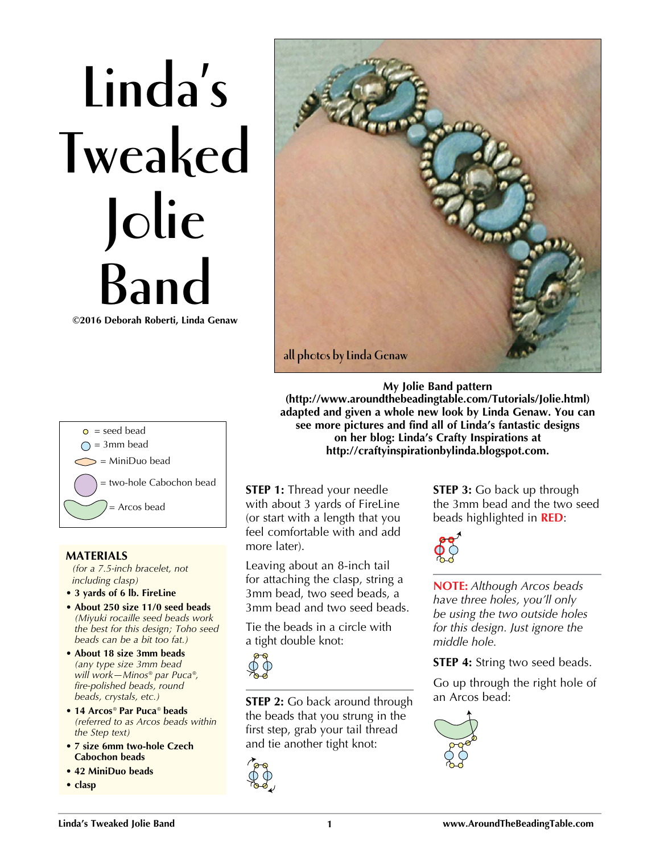## **Linda's Tweaked Jolie Band ©2016 Deborah Roberti, Linda Genaw**



 $\circ$  = seed bead  $\bigcap$  = 3mm bead  $\Rightarrow$  = MiniDuo bead = two-hole Cabochon bead = Arcos bead

## **MATERIALS**

*(for a 7.5-inch bracelet, not including clasp)*

- **3 yards of 6 lb. FireLine**
- **About 250 size 11/0 seed beads**  *(Miyuki rocaille seed beads work the best for this design; Toho seed beads can be a bit too fat.)*
- **About 18 size 3mm beads**  *(any type size 3mm bead will work—Minos® par Puca®, fire-polished beads, round beads, crystals, etc.)*
- **14 Arcos***®* **Par Puca***®* **beads**  *(referred to as Arcos beads within the Step text)*
- **7 size 6mm two-hole Czech Cabochon beads**
- **42 MiniDuo beads**
- **clasp**

**STEP 1:** Thread your needle with about 3 yards of FireLine (or start with a length that you feel comfortable with and add more later).

Leaving about an 8-inch tail for attaching the clasp, string a 3mm bead, two seed beads, a 3mm bead and two seed beads.

Tie the beads in a circle with a tight double knot:



**STEP 2:** Go back around through the beads that you strung in the first step, grab your tail thread and tie another tight knot:



**STEP 3:** Go back up through the 3mm bead and the two seed beads highlighted in **RED**:



**(http://www.aroundthebeadingtable.com/Tutorials/Jolie.html) adapted and given a whole new look by Linda Genaw. You can see more pictures and find all of Linda's fantastic designs on her blog: Linda's Crafty Inspirations at http://craftyinspirationbylinda.blogspot.com.**

> **NOTE:** *Although Arcos beads have three holes, you'll only be using the two outside holes for this design. Just ignore the middle hole.*

**STEP 4:** String two seed beads.

Go up through the right hole of an Arcos bead:

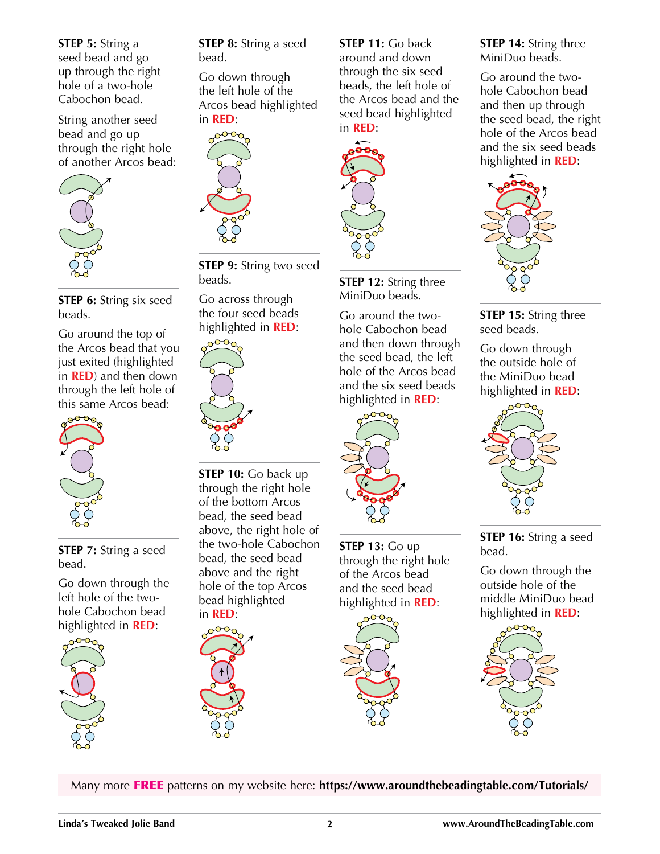**STEP 5:** String a seed bead and go up through the right hole of a two-hole Cabochon bead.

String another seed bead and go up through the right hole of another Arcos bead:



**STEP 6:** String six seed beads.

Go around the top of the Arcos bead that you just exited (highlighted in **RED**) and then down through the left hole of this same Arcos bead:



**STEP 7:** String a seed bead.

Go down through the left hole of the twohole Cabochon bead highlighted in **RED**:



**STEP 8:** String a seed bead.

Go down through the left hole of the Arcos bead highlighted in **RED**:



**STEP 9:** String two seed beads.

Go across through the four seed beads highlighted in **RED**:



**STEP 10:** Go back up through the right hole of the bottom Arcos bead, the seed bead above, the right hole of the two-hole Cabochon bead, the seed bead above and the right hole of the top Arcos bead highlighted in **RED**:



**STEP 11:** Go back around and down through the six seed beads, the left hole of the Arcos bead and the seed bead highlighted in **RED**:



**STEP 12:** String three MiniDuo beads.

Go around the twohole Cabochon bead and then down through the seed bead, the left hole of the Arcos bead and the six seed beads highlighted in **RED**:



**STEP 13:** Go up through the right hole of the Arcos bead and the seed bead highlighted in **RED**:



**STEP 14:** String three MiniDuo beads.

Go around the twohole Cabochon bead and then up through the seed bead, the right hole of the Arcos bead and the six seed beads highlighted in **RED**:



**STEP 15:** String three seed beads.

Go down through the outside hole of the MiniDuo bead highlighted in **RED**:



**STEP 16:** String a seed bead.

Go down through the outside hole of the middle MiniDuo bead highlighted in **RED**:



Many more FREE patterns on my website here: **https://www.aroundthebeadingtable.com/Tutorials/**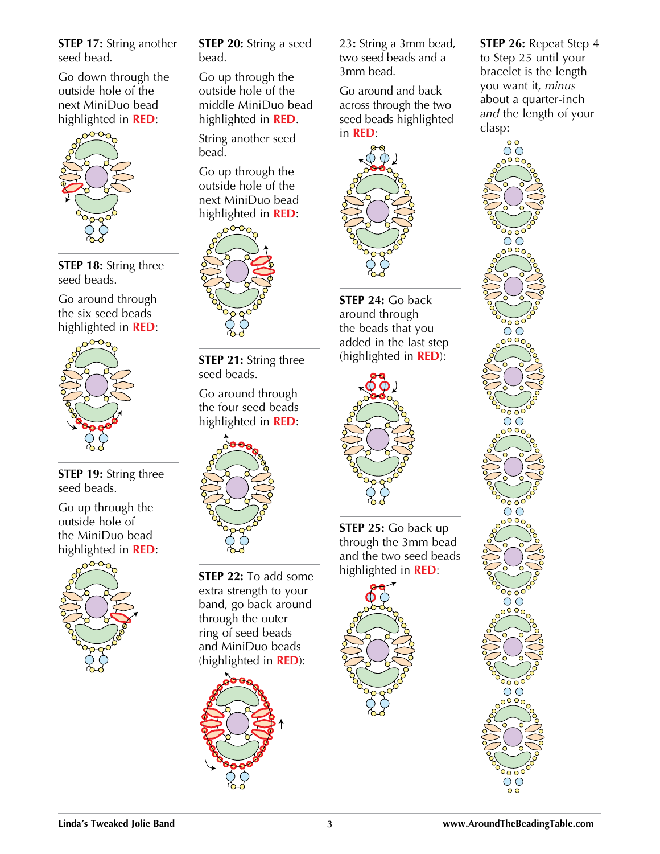**STEP 17:** String another seed bead.

Go down through the outside hole of the next MiniDuo bead highlighted in **RED**:



**STEP 18:** String three seed beads.

Go around through the six seed beads highlighted in **RED**:



**STEP 19:** String three seed beads.

Go up through the outside hole of the MiniDuo bead highlighted in **RED**:



**STEP 20:** String a seed bead.

Go up through the outside hole of the middle MiniDuo bead highlighted in **RED**.

String another seed bead.

Go up through the outside hole of the next MiniDuo bead highlighted in **RED**:



**STEP 21:** String three seed beads.

Go around through the four seed beads highlighted in **RED**:



**STEP 22:** To add some extra strength to your band, go back around through the outer ring of seed beads and MiniDuo beads (highlighted in **RED**):



23**:** String a 3mm bead, two seed beads and a 3mm bead.

Go around and back across through the two seed beads highlighted in **RED**:



**STEP 24:** Go back around through the beads that you added in the last step (highlighted in **RED**):



**STEP 25:** Go back up through the 3mm bead and the two seed beads highlighted in **RED**:



**STEP 26:** Repeat Step 4 to Step 25 until your bracelet is the length you want it, *minus* about a quarter-inch *and* the length of your clasp: